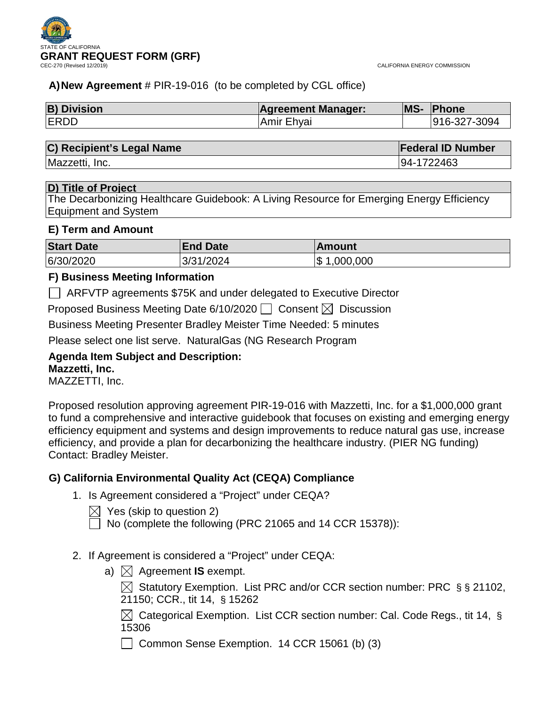

CALIFORNIA ENERGY COMMISSION

# **A)New Agreement** # PIR-19-016 (to be completed by CGL office)

| <b>B) Division</b> | <b>Agreement Manager:</b> | <b>MS-</b> | <b>Phone</b> |
|--------------------|---------------------------|------------|--------------|
| <b>IERDD</b>       | Amir Ehyai                |            | 916-327-3094 |

## **C) Recipient's Legal Name Federal ID Number**

Mazzetti, Inc. 94-1722463

## **D) Title of Project**

The Decarbonizing Healthcare Guidebook: A Living Resource for Emerging Energy Efficiency Equipment and System

## **E) Term and Amount**

| <b>Start Date</b> | <b>End Date</b> | ∣Amount          |
|-------------------|-----------------|------------------|
| 6/30/2020         | 3/31/2024       | Ι\$<br>1,000,000 |

# **F) Business Meeting Information**

ARFVTP agreements \$75K and under delegated to Executive Director

Proposed Business Meeting Date 6/10/2020  $\Box$  Consent  $\boxtimes$  Discussion

Business Meeting Presenter Bradley Meister Time Needed: 5 minutes

Please select one list serve. NaturalGas (NG Research Program

# **Agenda Item Subject and Description:**

## **Mazzetti, Inc.**

MAZZETTI, Inc.

Proposed resolution approving agreement PIR-19-016 with Mazzetti, Inc. for a \$1,000,000 grant to fund a comprehensive and interactive guidebook that focuses on existing and emerging energy efficiency equipment and systems and design improvements to reduce natural gas use, increase efficiency, and provide a plan for decarbonizing the healthcare industry. (PIER NG funding) Contact: Bradley Meister.

# **G) California Environmental Quality Act (CEQA) Compliance**

- 1. Is Agreement considered a "Project" under CEQA?
	- $\boxtimes$  Yes (skip to question 2)
		- No (complete the following (PRC 21065 and 14 CCR 15378)):
- 2. If Agreement is considered a "Project" under CEQA:
	- a)  $\bowtie$  Agreement **IS** exempt.

 $\boxtimes$  Statutory Exemption. List PRC and/or CCR section number: PRC § § 21102, 21150; CCR., tit 14, § 15262

 $\boxtimes$  Categorical Exemption. List CCR section number: Cal. Code Regs., tit 14, § 15306

Common Sense Exemption. 14 CCR 15061 (b) (3)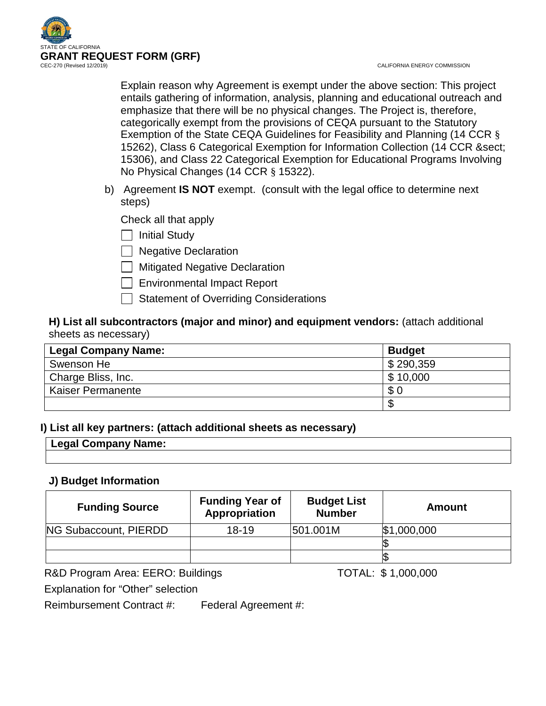

CALIFORNIA ENERGY COMMISSION

Explain reason why Agreement is exempt under the above section: This project entails gathering of information, analysis, planning and educational outreach and emphasize that there will be no physical changes. The Project is, therefore, categorically exempt from the provisions of CEQA pursuant to the Statutory Exemption of the State CEQA Guidelines for Feasibility and Planning (14 CCR § 15262), Class 6 Categorical Exemption for Information Collection (14 CCR § 15306), and Class 22 Categorical Exemption for Educational Programs Involving No Physical Changes (14 CCR § 15322).

b) Agreement **IS NOT** exempt. (consult with the legal office to determine next steps)

Check all that apply

 $\Box$  Initial Study

 $\Box$  Negative Declaration

**Mitigated Negative Declaration** 

 $\Box$  Environmental Impact Report

Statement of Overriding Considerations

# **H) List all subcontractors (major and minor) and equipment vendors:** (attach additional sheets as necessary)

| <b>Legal Company Name:</b> | <b>Budget</b> |
|----------------------------|---------------|
| Swenson He                 | \$290,359     |
| Charge Bliss, Inc.         | \$10,000      |
| <b>Kaiser Permanente</b>   | \$0           |
|                            |               |

# **I) List all key partners: (attach additional sheets as necessary)**

# **Legal Company Name:**

# **J) Budget Information**

| <b>Funding Source</b> | <b>Funding Year of</b><br>Appropriation | <b>Budget List</b><br><b>Number</b> | <b>Amount</b>  |
|-----------------------|-----------------------------------------|-------------------------------------|----------------|
| NG Subaccount, PIERDD | $18 - 19$                               | 501.001M                            | $ \$1,000,000$ |
|                       |                                         |                                     |                |
|                       |                                         |                                     |                |

R&D Program Area: EERO: Buildings TOTAL: \$1,000,000

Explanation for "Other" selection

Reimbursement Contract #: Federal Agreement #: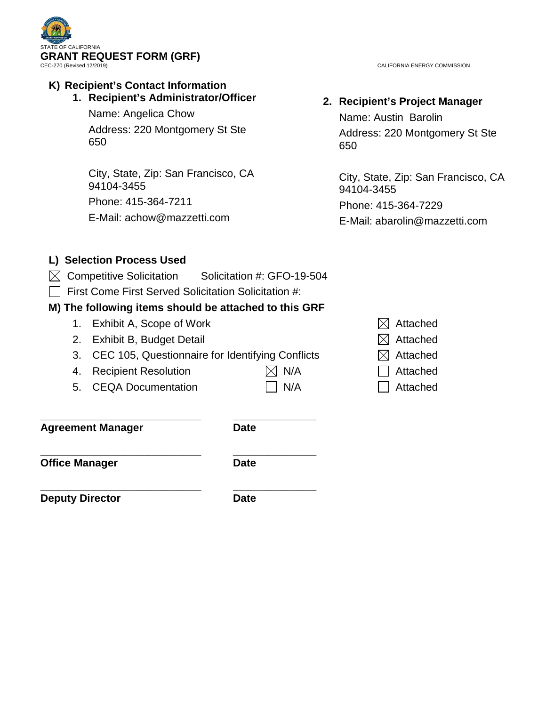

**K) Recipient's Contact Information 1. Recipient's Administrator/Officer**

Name: Angelica Chow

Address: 220 Montgomery St Ste 650

City, State, Zip: San Francisco, CA 94104-3455 Phone: 415-364-7211 E-Mail: achow@mazzetti.com

CALIFORNIA ENERGY COMMISSION

# **2. Recipient's Project Manager**

Name: Austin Barolin Address: 220 Montgomery St Ste 650

City, State, Zip: San Francisco, CA 94104-3455 Phone: 415-364-7229 E-Mail: abarolin@mazzetti.com

# **L) Selection Process Used**

- $\boxtimes$  Competitive Solicitation Solicitation #: GFO-19-504
- $\Box$  First Come First Served Solicitation Solicitation #:

# **M) The following items should be attached to this GRF**

- 1. Exhibit A, Scope of Work  $\boxtimes$  Attached
- 2. Exhibit B, Budget Detail  $\boxtimes$  Attached
- 3. CEC 105, Questionnaire for Identifying Conflicts  $\boxtimes$  Attached
- 4. Recipient Resolution  $\boxtimes$  N/A  $\Box$  Attached
- 5. CEQA Documentation  $\Box$  N/A  $\Box$  Attached

**\_\_\_\_\_\_\_\_\_\_\_\_\_\_\_\_\_\_\_\_\_\_\_\_\_\_\_ \_\_\_\_\_\_\_\_\_\_\_\_\_\_ Agreement Manager Date**

**\_\_\_\_\_\_\_\_\_\_\_\_\_\_\_\_\_\_\_\_\_\_\_\_\_\_\_ \_\_\_\_\_\_\_\_\_\_\_\_\_\_ Office Manager Date** 

**\_\_\_\_\_\_\_\_\_\_\_\_\_\_\_\_\_\_\_\_\_\_\_\_\_\_\_ \_\_\_\_\_\_\_\_\_\_\_\_\_\_ Deputy Director Date**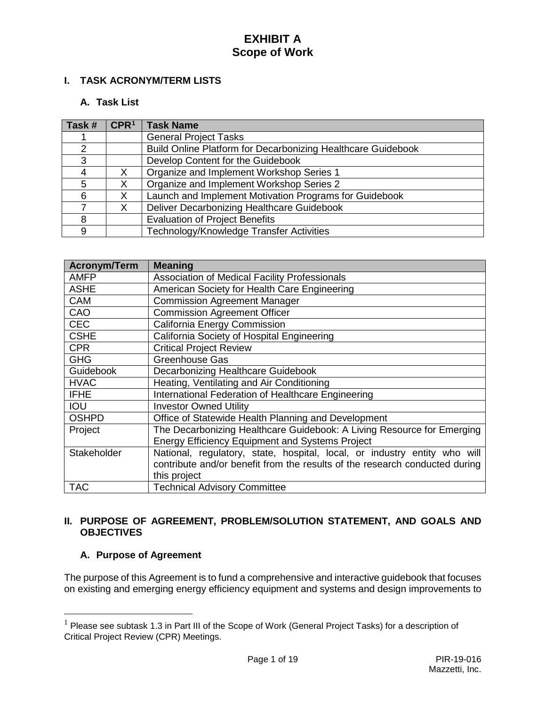# **I. TASK ACRONYM/TERM LISTS**

#### **A. Task List**

| Task # | CPR <sup>1</sup> | <b>Task Name</b>                                             |
|--------|------------------|--------------------------------------------------------------|
|        |                  | <b>General Project Tasks</b>                                 |
| 2      |                  | Build Online Platform for Decarbonizing Healthcare Guidebook |
| 3      |                  | Develop Content for the Guidebook                            |
|        |                  | Organize and Implement Workshop Series 1                     |
| 5.     | x                | Organize and Implement Workshop Series 2                     |
| 6      |                  | Launch and Implement Motivation Programs for Guidebook       |
|        | X                | Deliver Decarbonizing Healthcare Guidebook                   |
| 8      |                  | <b>Evaluation of Project Benefits</b>                        |
| 9      |                  | Technology/Knowledge Transfer Activities                     |

| <b>Acronym/Term</b> | <b>Meaning</b>                                                              |
|---------------------|-----------------------------------------------------------------------------|
| <b>AMFP</b>         | <b>Association of Medical Facility Professionals</b>                        |
| <b>ASHE</b>         | American Society for Health Care Engineering                                |
| <b>CAM</b>          | <b>Commission Agreement Manager</b>                                         |
| CAO                 | <b>Commission Agreement Officer</b>                                         |
| <b>CEC</b>          | <b>California Energy Commission</b>                                         |
| <b>CSHE</b>         | California Society of Hospital Engineering                                  |
| <b>CPR</b>          | <b>Critical Project Review</b>                                              |
| <b>GHG</b>          | Greenhouse Gas                                                              |
| Guidebook           | Decarbonizing Healthcare Guidebook                                          |
| <b>HVAC</b>         | Heating, Ventilating and Air Conditioning                                   |
| <b>IFHE</b>         | International Federation of Healthcare Engineering                          |
| <b>IOU</b>          | <b>Investor Owned Utility</b>                                               |
| <b>OSHPD</b>        | Office of Statewide Health Planning and Development                         |
| Project             | The Decarbonizing Healthcare Guidebook: A Living Resource for Emerging      |
|                     | <b>Energy Efficiency Equipment and Systems Project</b>                      |
| Stakeholder         | National, regulatory, state, hospital, local, or industry entity who will   |
|                     | contribute and/or benefit from the results of the research conducted during |
|                     | this project                                                                |
| <b>TAC</b>          | <b>Technical Advisory Committee</b>                                         |

## **II. PURPOSE OF AGREEMENT, PROBLEM/SOLUTION STATEMENT, AND GOALS AND OBJECTIVES**

## **A. Purpose of Agreement**

The purpose of this Agreement is to fund a comprehensive and interactive guidebook that focuses on existing and emerging energy efficiency equipment and systems and design improvements to

<span id="page-3-0"></span> $1$  Please see subtask 1.3 in Part III of the Scope of Work (General Project Tasks) for a description of Critical Project Review (CPR) Meetings.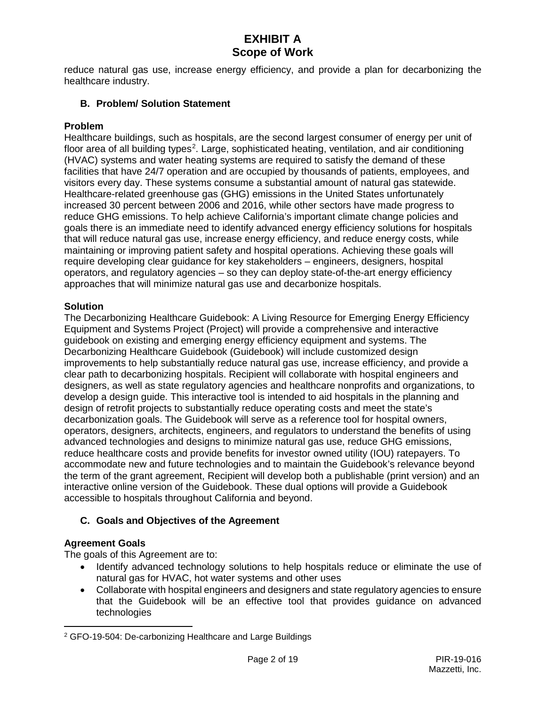reduce natural gas use, increase energy efficiency, and provide a plan for decarbonizing the healthcare industry.

## **B. Problem/ Solution Statement**

#### **Problem**

Healthcare buildings, such as hospitals, are the second largest consumer of energy per unit of floor area of all building types<sup>[2](#page-4-0)</sup>. Large, sophisticated heating, ventilation, and air conditioning (HVAC) systems and water heating systems are required to satisfy the demand of these facilities that have 24/7 operation and are occupied by thousands of patients, employees, and visitors every day. These systems consume a substantial amount of natural gas statewide. Healthcare-related greenhouse gas (GHG) emissions in the United States unfortunately increased 30 percent between 2006 and 2016, while other sectors have made progress to reduce GHG emissions. To help achieve California's important climate change policies and goals there is an immediate need to identify advanced energy efficiency solutions for hospitals that will reduce natural gas use, increase energy efficiency, and reduce energy costs, while maintaining or improving patient safety and hospital operations. Achieving these goals will require developing clear guidance for key stakeholders – engineers, designers, hospital operators, and regulatory agencies – so they can deploy state-of-the-art energy efficiency approaches that will minimize natural gas use and decarbonize hospitals.

#### **Solution**

The Decarbonizing Healthcare Guidebook: A Living Resource for Emerging Energy Efficiency Equipment and Systems Project (Project) will provide a comprehensive and interactive guidebook on existing and emerging energy efficiency equipment and systems. The Decarbonizing Healthcare Guidebook (Guidebook) will include customized design improvements to help substantially reduce natural gas use, increase efficiency, and provide a clear path to decarbonizing hospitals. Recipient will collaborate with hospital engineers and designers, as well as state regulatory agencies and healthcare nonprofits and organizations, to develop a design guide. This interactive tool is intended to aid hospitals in the planning and design of retrofit projects to substantially reduce operating costs and meet the state's decarbonization goals. The Guidebook will serve as a reference tool for hospital owners, operators, designers, architects, engineers, and regulators to understand the benefits of using advanced technologies and designs to minimize natural gas use, reduce GHG emissions, reduce healthcare costs and provide benefits for investor owned utility (IOU) ratepayers. To accommodate new and future technologies and to maintain the Guidebook's relevance beyond the term of the grant agreement, Recipient will develop both a publishable (print version) and an interactive online version of the Guidebook. These dual options will provide a Guidebook accessible to hospitals throughout California and beyond.

## **C. Goals and Objectives of the Agreement**

## **Agreement Goals**

 $\overline{a}$ 

The goals of this Agreement are to:

- Identify advanced technology solutions to help hospitals reduce or eliminate the use of natural gas for HVAC, hot water systems and other uses
- Collaborate with hospital engineers and designers and state regulatory agencies to ensure that the Guidebook will be an effective tool that provides guidance on advanced technologies

<span id="page-4-0"></span><sup>2</sup> GFO-19-504: De-carbonizing Healthcare and Large Buildings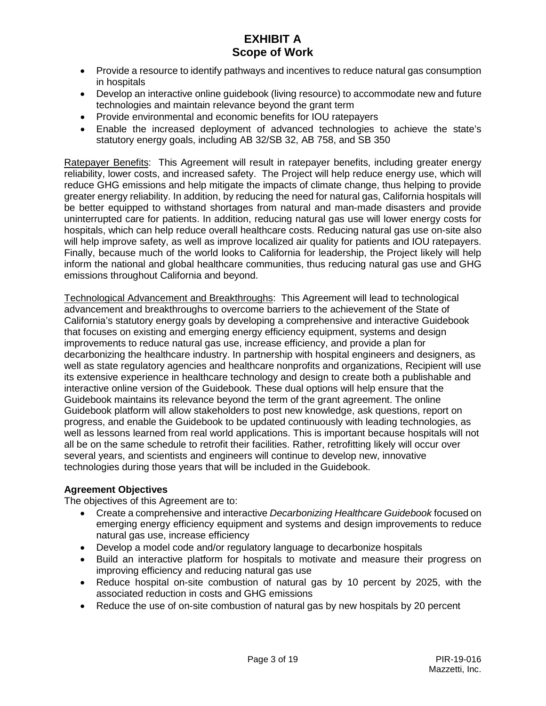- Provide a resource to identify pathways and incentives to reduce natural gas consumption in hospitals
- Develop an interactive online guidebook (living resource) to accommodate new and future technologies and maintain relevance beyond the grant term
- Provide environmental and economic benefits for IOU ratepayers
- Enable the increased deployment of advanced technologies to achieve the state's statutory energy goals, including AB 32/SB 32, AB 758, and SB 350

Ratepayer Benefits: This Agreement will result in ratepayer benefits, including greater energy reliability, lower costs, and increased safety. The Project will help reduce energy use, which will reduce GHG emissions and help mitigate the impacts of climate change, thus helping to provide greater energy reliability. In addition, by reducing the need for natural gas, California hospitals will be better equipped to withstand shortages from natural and man-made disasters and provide uninterrupted care for patients. In addition, reducing natural gas use will lower energy costs for hospitals, which can help reduce overall healthcare costs. Reducing natural gas use on-site also will help improve safety, as well as improve localized air quality for patients and IOU ratepayers. Finally, because much of the world looks to California for leadership, the Project likely will help inform the national and global healthcare communities, thus reducing natural gas use and GHG emissions throughout California and beyond.

Technological Advancement and Breakthroughs: This Agreement will lead to technological advancement and breakthroughs to overcome barriers to the achievement of the State of California's statutory energy goals by developing a comprehensive and interactive Guidebook that focuses on existing and emerging energy efficiency equipment, systems and design improvements to reduce natural gas use, increase efficiency, and provide a plan for decarbonizing the healthcare industry. In partnership with hospital engineers and designers, as well as state regulatory agencies and healthcare nonprofits and organizations, Recipient will use its extensive experience in healthcare technology and design to create both a publishable and interactive online version of the Guidebook*.* These dual options will help ensure that the Guidebook maintains its relevance beyond the term of the grant agreement. The online Guidebook platform will allow stakeholders to post new knowledge, ask questions, report on progress, and enable the Guidebook to be updated continuously with leading technologies, as well as lessons learned from real world applications. This is important because hospitals will not all be on the same schedule to retrofit their facilities. Rather, retrofitting likely will occur over several years, and scientists and engineers will continue to develop new, innovative technologies during those years that will be included in the Guidebook.

## **Agreement Objectives**

The objectives of this Agreement are to:

- Create a comprehensive and interactive *Decarbonizing Healthcare Guidebook* focused on emerging energy efficiency equipment and systems and design improvements to reduce natural gas use, increase efficiency
- Develop a model code and/or regulatory language to decarbonize hospitals
- Build an interactive platform for hospitals to motivate and measure their progress on improving efficiency and reducing natural gas use
- Reduce hospital on-site combustion of natural gas by 10 percent by 2025, with the associated reduction in costs and GHG emissions
- Reduce the use of on-site combustion of natural gas by new hospitals by 20 percent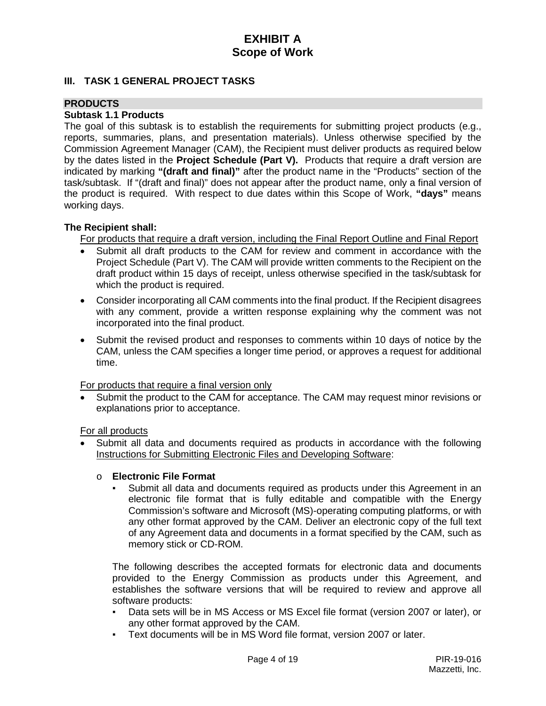#### **III. TASK 1 GENERAL PROJECT TASKS**

## **PRODUCTS**

#### **Subtask 1.1 Products**

The goal of this subtask is to establish the requirements for submitting project products (e.g., reports, summaries, plans, and presentation materials). Unless otherwise specified by the Commission Agreement Manager (CAM), the Recipient must deliver products as required below by the dates listed in the **Project Schedule (Part V).** Products that require a draft version are indicated by marking **"(draft and final)"** after the product name in the "Products" section of the task/subtask. If "(draft and final)" does not appear after the product name, only a final version of the product is required. With respect to due dates within this Scope of Work, **"days"** means working days.

#### **The Recipient shall:**

For products that require a draft version, including the Final Report Outline and Final Report

- Submit all draft products to the CAM for review and comment in accordance with the Project Schedule (Part V). The CAM will provide written comments to the Recipient on the draft product within 15 days of receipt, unless otherwise specified in the task/subtask for which the product is required.
- Consider incorporating all CAM comments into the final product. If the Recipient disagrees with any comment, provide a written response explaining why the comment was not incorporated into the final product.
- Submit the revised product and responses to comments within 10 days of notice by the CAM, unless the CAM specifies a longer time period, or approves a request for additional time.

For products that require a final version only

Submit the product to the CAM for acceptance. The CAM may request minor revisions or explanations prior to acceptance.

For all products

• Submit all data and documents required as products in accordance with the following Instructions for Submitting Electronic Files and Developing Software:

#### o **Electronic File Format**

Submit all data and documents required as products under this Agreement in an electronic file format that is fully editable and compatible with the Energy Commission's software and Microsoft (MS)-operating computing platforms, or with any other format approved by the CAM. Deliver an electronic copy of the full text of any Agreement data and documents in a format specified by the CAM, such as memory stick or CD-ROM.

The following describes the accepted formats for electronic data and documents provided to the Energy Commission as products under this Agreement, and establishes the software versions that will be required to review and approve all software products:

- Data sets will be in MS Access or MS Excel file format (version 2007 or later), or any other format approved by the CAM.
- Text documents will be in MS Word file format, version 2007 or later.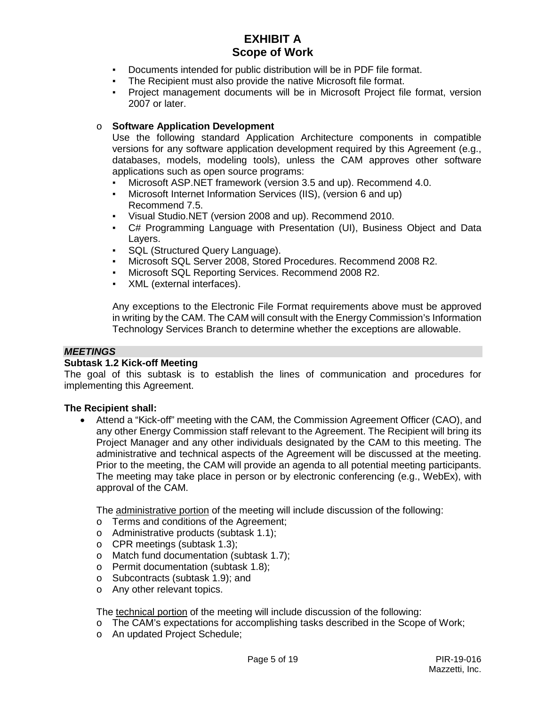- Documents intended for public distribution will be in PDF file format.
- The Recipient must also provide the native Microsoft file format.
- Project management documents will be in Microsoft Project file format, version 2007 or later.

#### o **Software Application Development**

Use the following standard Application Architecture components in compatible versions for any software application development required by this Agreement (e.g., databases, models, modeling tools), unless the CAM approves other software applications such as open source programs:

- Microsoft ASP.NET framework (version 3.5 and up). Recommend 4.0.
- Microsoft Internet Information Services (IIS), (version 6 and up) Recommend 7.5.
- Visual Studio.NET (version 2008 and up). Recommend 2010.
- C# Programming Language with Presentation (UI), Business Object and Data Layers.
- SQL (Structured Query Language).
- Microsoft SQL Server 2008, Stored Procedures. Recommend 2008 R2.
- Microsoft SQL Reporting Services. Recommend 2008 R2.
- XML (external interfaces).

Any exceptions to the Electronic File Format requirements above must be approved in writing by the CAM. The CAM will consult with the Energy Commission's Information Technology Services Branch to determine whether the exceptions are allowable.

#### *MEETINGS*

#### **Subtask 1.2 Kick-off Meeting**

The goal of this subtask is to establish the lines of communication and procedures for implementing this Agreement.

#### **The Recipient shall:**

• Attend a "Kick-off" meeting with the CAM, the Commission Agreement Officer (CAO), and any other Energy Commission staff relevant to the Agreement. The Recipient will bring its Project Manager and any other individuals designated by the CAM to this meeting. The administrative and technical aspects of the Agreement will be discussed at the meeting. Prior to the meeting, the CAM will provide an agenda to all potential meeting participants. The meeting may take place in person or by electronic conferencing (e.g., WebEx), with approval of the CAM.

The administrative portion of the meeting will include discussion of the following:

- o Terms and conditions of the Agreement;
- o Administrative products (subtask 1.1);
- o CPR meetings (subtask 1.3);
- o Match fund documentation (subtask 1.7);
- o Permit documentation (subtask 1.8);
- o Subcontracts (subtask 1.9); and
- o Any other relevant topics.

The technical portion of the meeting will include discussion of the following:

- o The CAM's expectations for accomplishing tasks described in the Scope of Work;
- o An updated Project Schedule;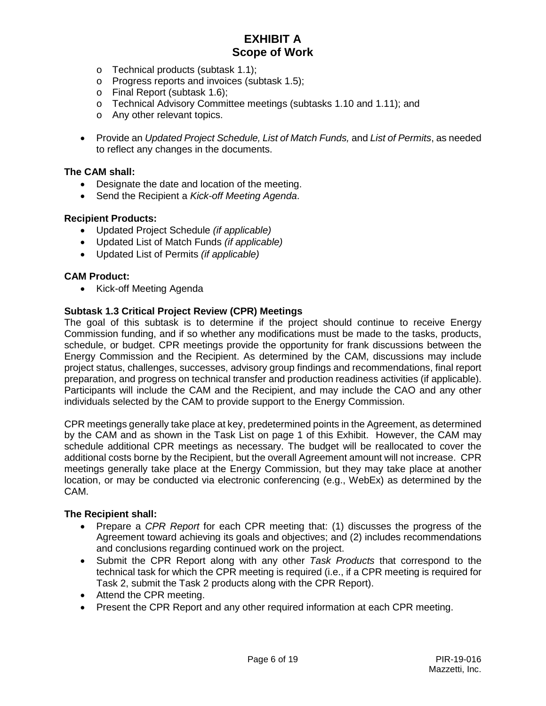- o Technical products (subtask 1.1);
- o Progress reports and invoices (subtask 1.5);
- o Final Report (subtask 1.6);
- o Technical Advisory Committee meetings (subtasks 1.10 and 1.11); and
- o Any other relevant topics.
- Provide an *Updated Project Schedule, List of Match Funds,* and *List of Permits*, as needed to reflect any changes in the documents.

#### **The CAM shall:**

- Designate the date and location of the meeting.
- Send the Recipient a *Kick-off Meeting Agenda*.

#### **Recipient Products:**

- Updated Project Schedule *(if applicable)*
- Updated List of Match Funds *(if applicable)*
- Updated List of Permits *(if applicable)*

#### **CAM Product:**

• Kick-off Meeting Agenda

#### **Subtask 1.3 Critical Project Review (CPR) Meetings**

The goal of this subtask is to determine if the project should continue to receive Energy Commission funding, and if so whether any modifications must be made to the tasks, products, schedule, or budget. CPR meetings provide the opportunity for frank discussions between the Energy Commission and the Recipient. As determined by the CAM, discussions may include project status, challenges, successes, advisory group findings and recommendations, final report preparation, and progress on technical transfer and production readiness activities (if applicable). Participants will include the CAM and the Recipient, and may include the CAO and any other individuals selected by the CAM to provide support to the Energy Commission.

CPR meetings generally take place at key, predetermined points in the Agreement, as determined by the CAM and as shown in the Task List on page 1 of this Exhibit. However, the CAM may schedule additional CPR meetings as necessary. The budget will be reallocated to cover the additional costs borne by the Recipient, but the overall Agreement amount will not increase. CPR meetings generally take place at the Energy Commission, but they may take place at another location, or may be conducted via electronic conferencing (e.g., WebEx) as determined by the CAM.

- Prepare a *CPR Report* for each CPR meeting that: (1) discusses the progress of the Agreement toward achieving its goals and objectives; and (2) includes recommendations and conclusions regarding continued work on the project.
- Submit the CPR Report along with any other *Task Products* that correspond to the technical task for which the CPR meeting is required (i.e., if a CPR meeting is required for Task 2, submit the Task 2 products along with the CPR Report).
- Attend the CPR meeting.
- Present the CPR Report and any other required information at each CPR meeting.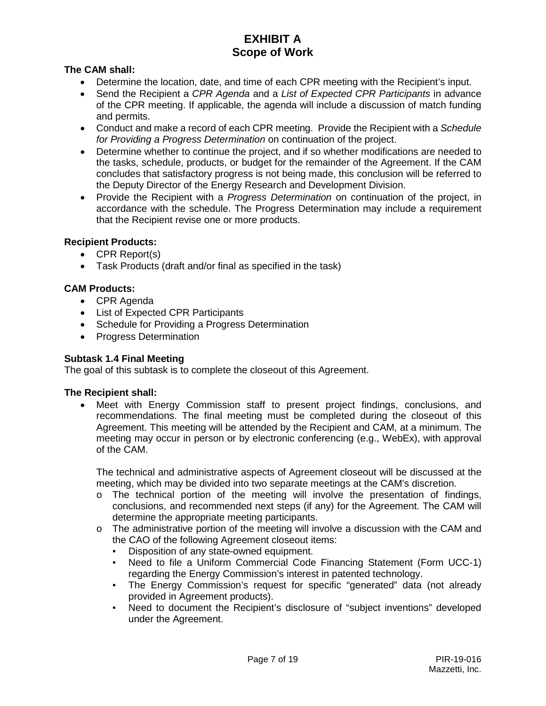# **The CAM shall:**

- Determine the location, date, and time of each CPR meeting with the Recipient's input.
- Send the Recipient a *CPR Agenda* and a *List of Expected CPR Participants* in advance of the CPR meeting. If applicable, the agenda will include a discussion of match funding and permits.
- Conduct and make a record of each CPR meeting. Provide the Recipient with a *Schedule for Providing a Progress Determination* on continuation of the project.
- Determine whether to continue the project, and if so whether modifications are needed to the tasks, schedule, products, or budget for the remainder of the Agreement. If the CAM concludes that satisfactory progress is not being made, this conclusion will be referred to the Deputy Director of the Energy Research and Development Division.
- Provide the Recipient with a *Progress Determination* on continuation of the project, in accordance with the schedule. The Progress Determination may include a requirement that the Recipient revise one or more products.

## **Recipient Products:**

- CPR Report(s)
- Task Products (draft and/or final as specified in the task)

## **CAM Products:**

- CPR Agenda
- List of Expected CPR Participants
- Schedule for Providing a Progress Determination
- Progress Determination

## **Subtask 1.4 Final Meeting**

The goal of this subtask is to complete the closeout of this Agreement.

## **The Recipient shall:**

• Meet with Energy Commission staff to present project findings, conclusions, and recommendations. The final meeting must be completed during the closeout of this Agreement. This meeting will be attended by the Recipient and CAM, at a minimum. The meeting may occur in person or by electronic conferencing (e.g., WebEx), with approval of the CAM.

The technical and administrative aspects of Agreement closeout will be discussed at the meeting, which may be divided into two separate meetings at the CAM's discretion.

- o The technical portion of the meeting will involve the presentation of findings, conclusions, and recommended next steps (if any) for the Agreement. The CAM will determine the appropriate meeting participants.
- $\circ$  The administrative portion of the meeting will involve a discussion with the CAM and the CAO of the following Agreement closeout items:
	- Disposition of any state-owned equipment.
	- Need to file a Uniform Commercial Code Financing Statement (Form UCC-1) regarding the Energy Commission's interest in patented technology.
	- The Energy Commission's request for specific "generated" data (not already provided in Agreement products).
	- Need to document the Recipient's disclosure of "subject inventions" developed under the Agreement.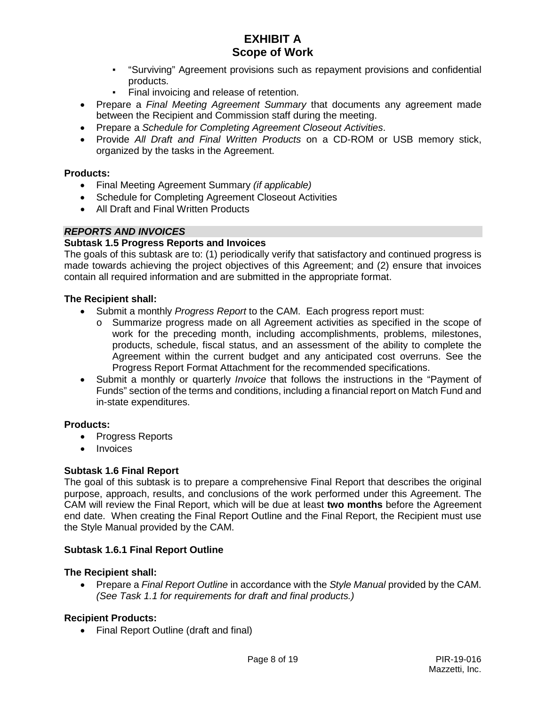- "Surviving" Agreement provisions such as repayment provisions and confidential products.
- Final invoicing and release of retention.
- Prepare a *Final Meeting Agreement Summary* that documents any agreement made between the Recipient and Commission staff during the meeting.
- Prepare a *Schedule for Completing Agreement Closeout Activities*.
- Provide *All Draft and Final Written Products* on a CD-ROM or USB memory stick, organized by the tasks in the Agreement.

## **Products:**

- Final Meeting Agreement Summary *(if applicable)*
- Schedule for Completing Agreement Closeout Activities
- All Draft and Final Written Products

## *REPORTS AND INVOICES*

## **Subtask 1.5 Progress Reports and Invoices**

The goals of this subtask are to: (1) periodically verify that satisfactory and continued progress is made towards achieving the project objectives of this Agreement; and (2) ensure that invoices contain all required information and are submitted in the appropriate format.

## **The Recipient shall:**

- Submit a monthly *Progress Report* to the CAM. Each progress report must:
	- o Summarize progress made on all Agreement activities as specified in the scope of work for the preceding month, including accomplishments, problems, milestones, products, schedule, fiscal status, and an assessment of the ability to complete the Agreement within the current budget and any anticipated cost overruns. See the Progress Report Format Attachment for the recommended specifications.
- Submit a monthly or quarterly *Invoice* that follows the instructions in the "Payment of Funds" section of the terms and conditions, including a financial report on Match Fund and in-state expenditures.

## **Products:**

- Progress Reports
- Invoices

## **Subtask 1.6 Final Report**

The goal of this subtask is to prepare a comprehensive Final Report that describes the original purpose, approach, results, and conclusions of the work performed under this Agreement. The CAM will review the Final Report, which will be due at least **two months** before the Agreement end date. When creating the Final Report Outline and the Final Report, the Recipient must use the Style Manual provided by the CAM.

## **Subtask 1.6.1 Final Report Outline**

## **The Recipient shall:**

• Prepare a *Final Report Outline* in accordance with the *Style Manual* provided by the CAM. *(See Task 1.1 for requirements for draft and final products.)*

## **Recipient Products:**

• Final Report Outline (draft and final)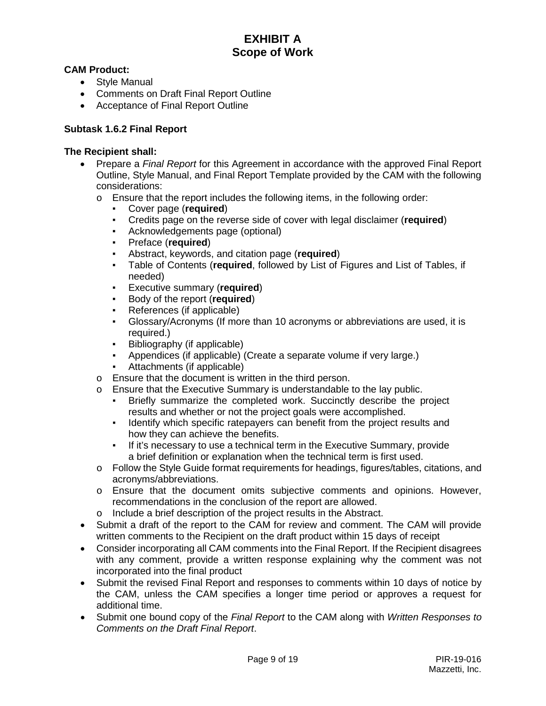# **CAM Product:**

- Style Manual
- Comments on Draft Final Report Outline
- Acceptance of Final Report Outline

## **Subtask 1.6.2 Final Report**

- Prepare a *Final Report* for this Agreement in accordance with the approved Final Report Outline, Style Manual, and Final Report Template provided by the CAM with the following considerations:
	- $\circ$  Ensure that the report includes the following items, in the following order:
		- **•** Cover page (**required**)<br>• Credits page on the rev
		- Credits page on the reverse side of cover with legal disclaimer (**required**)
		- Acknowledgements page (optional)
		- Preface (**required**)
		- Abstract, keywords, and citation page (**required**)
		- Table of Contents (**required**, followed by List of Figures and List of Tables, if needed)
		- Executive summary (**required**)
		- Body of the report (**required**)
		- References (if applicable)
		- Glossary/Acronyms (If more than 10 acronyms or abbreviations are used, it is required.)
		- Bibliography (if applicable)
		- Appendices (if applicable) (Create a separate volume if very large.)
		- Attachments (if applicable)
	- o Ensure that the document is written in the third person.
	- o Ensure that the Executive Summary is understandable to the lay public.
		- Briefly summarize the completed work. Succinctly describe the project results and whether or not the project goals were accomplished.
		- Identify which specific ratepayers can benefit from the project results and how they can achieve the benefits.
		- If it's necessary to use a technical term in the Executive Summary, provide a brief definition or explanation when the technical term is first used.
	- o Follow the Style Guide format requirements for headings, figures/tables, citations, and acronyms/abbreviations.
	- o Ensure that the document omits subjective comments and opinions. However, recommendations in the conclusion of the report are allowed.
	- o Include a brief description of the project results in the Abstract.
- Submit a draft of the report to the CAM for review and comment. The CAM will provide written comments to the Recipient on the draft product within 15 days of receipt
- Consider incorporating all CAM comments into the Final Report. If the Recipient disagrees with any comment, provide a written response explaining why the comment was not incorporated into the final product
- Submit the revised Final Report and responses to comments within 10 days of notice by the CAM, unless the CAM specifies a longer time period or approves a request for additional time.
- Submit one bound copy of the *Final Report* to the CAM along with *Written Responses to Comments on the Draft Final Report*.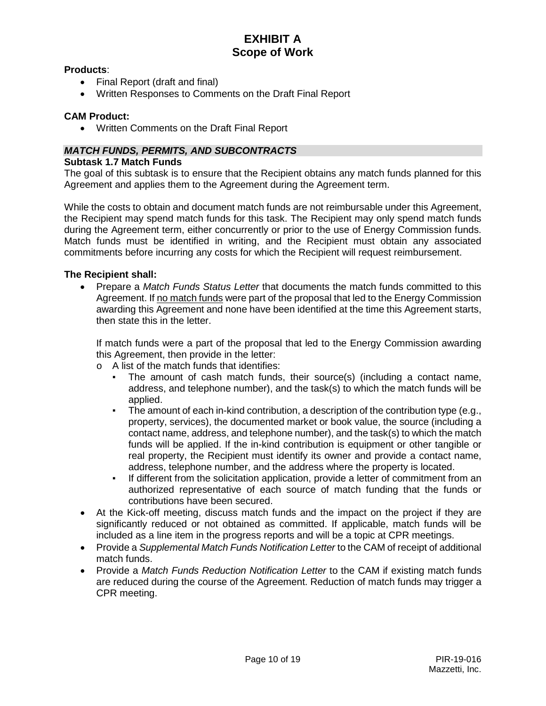#### **Products**:

- Final Report (draft and final)
- Written Responses to Comments on the Draft Final Report

#### **CAM Product:**

• Written Comments on the Draft Final Report

## *MATCH FUNDS, PERMITS, AND SUBCONTRACTS*

#### **Subtask 1.7 Match Funds**

The goal of this subtask is to ensure that the Recipient obtains any match funds planned for this Agreement and applies them to the Agreement during the Agreement term.

While the costs to obtain and document match funds are not reimbursable under this Agreement, the Recipient may spend match funds for this task. The Recipient may only spend match funds during the Agreement term, either concurrently or prior to the use of Energy Commission funds. Match funds must be identified in writing, and the Recipient must obtain any associated commitments before incurring any costs for which the Recipient will request reimbursement.

## **The Recipient shall:**

• Prepare a *Match Funds Status Letter* that documents the match funds committed to this Agreement. If no match funds were part of the proposal that led to the Energy Commission awarding this Agreement and none have been identified at the time this Agreement starts, then state this in the letter.

If match funds were a part of the proposal that led to the Energy Commission awarding this Agreement, then provide in the letter:

- o A list of the match funds that identifies:
	- The amount of cash match funds, their source(s) (including a contact name, address, and telephone number), and the task(s) to which the match funds will be applied.
	- The amount of each in-kind contribution, a description of the contribution type (e.g., property, services), the documented market or book value, the source (including a contact name, address, and telephone number), and the task(s) to which the match funds will be applied. If the in-kind contribution is equipment or other tangible or real property, the Recipient must identify its owner and provide a contact name, address, telephone number, and the address where the property is located.
	- If different from the solicitation application, provide a letter of commitment from an authorized representative of each source of match funding that the funds or contributions have been secured.
- At the Kick-off meeting, discuss match funds and the impact on the project if they are significantly reduced or not obtained as committed. If applicable, match funds will be included as a line item in the progress reports and will be a topic at CPR meetings.
- Provide a *Supplemental Match Funds Notification Letter* to the CAM of receipt of additional match funds.
- Provide a *Match Funds Reduction Notification Letter* to the CAM if existing match funds are reduced during the course of the Agreement. Reduction of match funds may trigger a CPR meeting.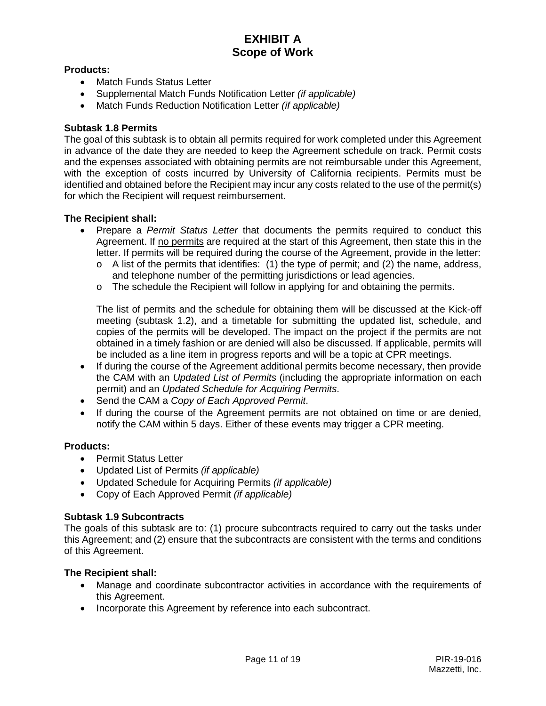## **Products:**

- Match Funds Status Letter
- Supplemental Match Funds Notification Letter *(if applicable)*
- Match Funds Reduction Notification Letter *(if applicable)*

#### **Subtask 1.8 Permits**

The goal of this subtask is to obtain all permits required for work completed under this Agreement in advance of the date they are needed to keep the Agreement schedule on track. Permit costs and the expenses associated with obtaining permits are not reimbursable under this Agreement, with the exception of costs incurred by University of California recipients. Permits must be identified and obtained before the Recipient may incur any costs related to the use of the permit(s) for which the Recipient will request reimbursement.

#### **The Recipient shall:**

- Prepare a *Permit Status Letter* that documents the permits required to conduct this Agreement. If no permits are required at the start of this Agreement, then state this in the letter. If permits will be required during the course of the Agreement, provide in the letter:
	- o A list of the permits that identifies: (1) the type of permit; and (2) the name, address, and telephone number of the permitting jurisdictions or lead agencies.
	- o The schedule the Recipient will follow in applying for and obtaining the permits.

The list of permits and the schedule for obtaining them will be discussed at the Kick-off meeting (subtask 1.2), and a timetable for submitting the updated list, schedule, and copies of the permits will be developed. The impact on the project if the permits are not obtained in a timely fashion or are denied will also be discussed. If applicable, permits will be included as a line item in progress reports and will be a topic at CPR meetings.

- If during the course of the Agreement additional permits become necessary, then provide the CAM with an *Updated List of Permits* (including the appropriate information on each permit) and an *Updated Schedule for Acquiring Permits*.
- Send the CAM a *Copy of Each Approved Permit*.
- If during the course of the Agreement permits are not obtained on time or are denied, notify the CAM within 5 days. Either of these events may trigger a CPR meeting.

#### **Products:**

- Permit Status Letter
- Updated List of Permits *(if applicable)*
- Updated Schedule for Acquiring Permits *(if applicable)*
- Copy of Each Approved Permit *(if applicable)*

#### **Subtask 1.9 Subcontracts**

The goals of this subtask are to: (1) procure subcontracts required to carry out the tasks under this Agreement; and (2) ensure that the subcontracts are consistent with the terms and conditions of this Agreement.

- Manage and coordinate subcontractor activities in accordance with the requirements of this Agreement.
- Incorporate this Agreement by reference into each subcontract.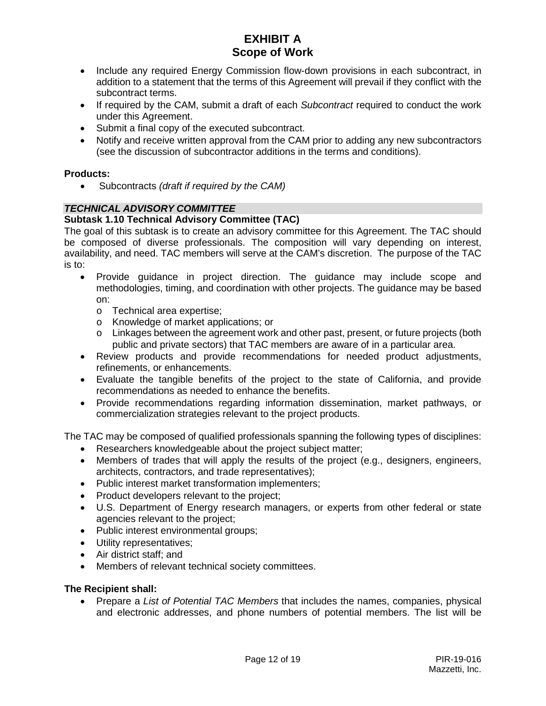- Include any required Energy Commission flow-down provisions in each subcontract, in addition to a statement that the terms of this Agreement will prevail if they conflict with the subcontract terms.
- If required by the CAM, submit a draft of each *Subcontract* required to conduct the work under this Agreement.
- Submit a final copy of the executed subcontract.
- Notify and receive written approval from the CAM prior to adding any new subcontractors (see the discussion of subcontractor additions in the terms and conditions).

#### **Products:**

• Subcontracts *(draft if required by the CAM)*

## *TECHNICAL ADVISORY COMMITTEE*

#### **Subtask 1.10 Technical Advisory Committee (TAC)**

The goal of this subtask is to create an advisory committee for this Agreement. The TAC should be composed of diverse professionals. The composition will vary depending on interest, availability, and need. TAC members will serve at the CAM's discretion. The purpose of the TAC is to:

- Provide guidance in project direction. The guidance may include scope and methodologies, timing, and coordination with other projects. The guidance may be based on:
	- o Technical area expertise;
	- o Knowledge of market applications; or
	- o Linkages between the agreement work and other past, present, or future projects (both public and private sectors) that TAC members are aware of in a particular area.
- Review products and provide recommendations for needed product adjustments, refinements, or enhancements.
- Evaluate the tangible benefits of the project to the state of California, and provide recommendations as needed to enhance the benefits.
- Provide recommendations regarding information dissemination, market pathways, or commercialization strategies relevant to the project products.

The TAC may be composed of qualified professionals spanning the following types of disciplines:

- Researchers knowledgeable about the project subject matter;
- Members of trades that will apply the results of the project (e.g., designers, engineers, architects, contractors, and trade representatives);
- Public interest market transformation implementers;
- Product developers relevant to the project;
- U.S. Department of Energy research managers, or experts from other federal or state agencies relevant to the project;
- Public interest environmental groups;
- Utility representatives;
- Air district staff; and
- Members of relevant technical society committees.

#### **The Recipient shall:**

• Prepare a *List of Potential TAC Members* that includes the names, companies, physical and electronic addresses, and phone numbers of potential members. The list will be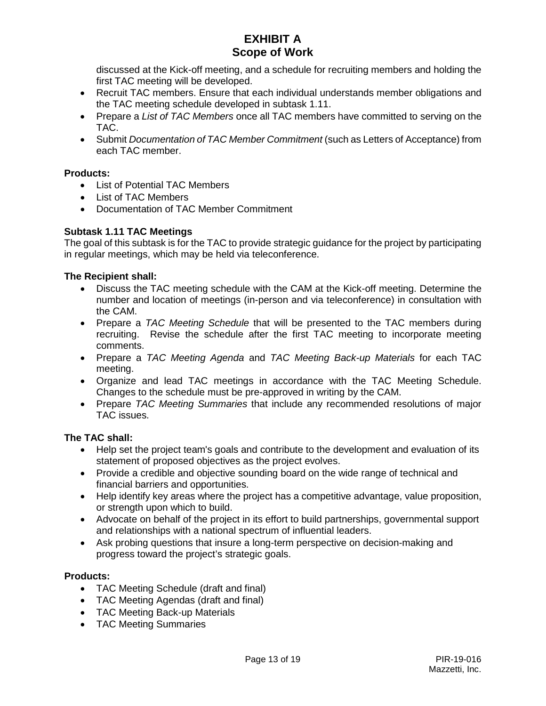discussed at the Kick-off meeting, and a schedule for recruiting members and holding the first TAC meeting will be developed.

- Recruit TAC members. Ensure that each individual understands member obligations and the TAC meeting schedule developed in subtask 1.11.
- Prepare a *List of TAC Members* once all TAC members have committed to serving on the TAC.
- Submit *Documentation of TAC Member Commitment* (such as Letters of Acceptance) from each TAC member.

## **Products:**

- List of Potential TAC Members
- List of TAC Members
- Documentation of TAC Member Commitment

## **Subtask 1.11 TAC Meetings**

The goal of this subtask is for the TAC to provide strategic guidance for the project by participating in regular meetings, which may be held via teleconference.

## **The Recipient shall:**

- Discuss the TAC meeting schedule with the CAM at the Kick-off meeting. Determine the number and location of meetings (in-person and via teleconference) in consultation with the CAM.
- Prepare a *TAC Meeting Schedule* that will be presented to the TAC members during recruiting. Revise the schedule after the first TAC meeting to incorporate meeting comments.
- Prepare a *TAC Meeting Agenda* and *TAC Meeting Back-up Materials* for each TAC meeting.
- Organize and lead TAC meetings in accordance with the TAC Meeting Schedule. Changes to the schedule must be pre-approved in writing by the CAM.
- Prepare *TAC Meeting Summaries* that include any recommended resolutions of major TAC issues.

# **The TAC shall:**

- Help set the project team's goals and contribute to the development and evaluation of its statement of proposed objectives as the project evolves.
- Provide a credible and objective sounding board on the wide range of technical and financial barriers and opportunities.
- Help identify key areas where the project has a competitive advantage, value proposition, or strength upon which to build.
- Advocate on behalf of the project in its effort to build partnerships, governmental support and relationships with a national spectrum of influential leaders.
- Ask probing questions that insure a long-term perspective on decision-making and progress toward the project's strategic goals.

## **Products:**

- TAC Meeting Schedule (draft and final)
- TAC Meeting Agendas (draft and final)
- TAC Meeting Back-up Materials
- TAC Meeting Summaries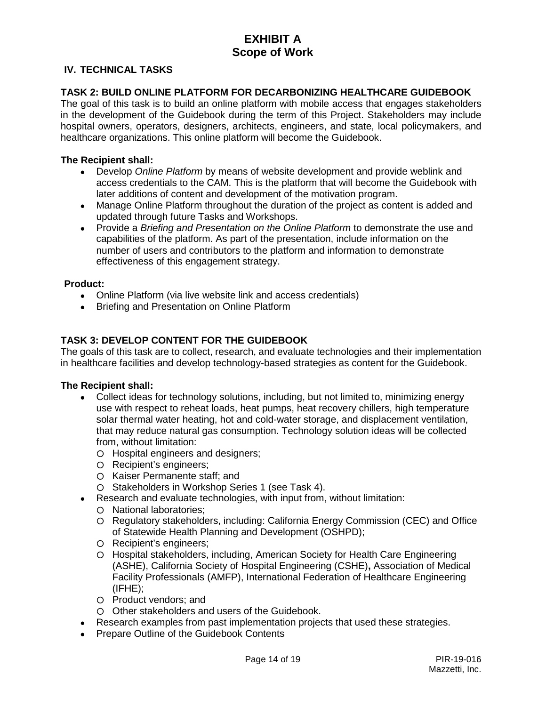## **IV. TECHNICAL TASKS**

#### **TASK 2: BUILD ONLINE PLATFORM FOR DECARBONIZING HEALTHCARE GUIDEBOOK**

The goal of this task is to build an online platform with mobile access that engages stakeholders in the development of the Guidebook during the term of this Project. Stakeholders may include hospital owners, operators, designers, architects, engineers, and state, local policymakers, and healthcare organizations. This online platform will become the Guidebook.

#### **The Recipient shall:**

- Develop *Online Platform* by means of website development and provide weblink and access credentials to the CAM. This is the platform that will become the Guidebook with later additions of content and development of the motivation program.
- Manage Online Platform throughout the duration of the project as content is added and updated through future Tasks and Workshops.
- Provide a *Briefing and Presentation on the Online Platform* to demonstrate the use and capabilities of the platform. As part of the presentation, include information on the number of users and contributors to the platform and information to demonstrate effectiveness of this engagement strategy.

#### **Product:**

- Online Platform (via live website link and access credentials)
- Briefing and Presentation on Online Platform

## **TASK 3: DEVELOP CONTENT FOR THE GUIDEBOOK**

The goals of this task are to collect, research, and evaluate technologies and their implementation in healthcare facilities and develop technology-based strategies as content for the Guidebook.

- Collect ideas for technology solutions, including, but not limited to, minimizing energy use with respect to reheat loads, heat pumps, heat recovery chillers, high temperature solar thermal water heating, hot and cold-water storage, and displacement ventilation, that may reduce natural gas consumption. Technology solution ideas will be collected from, without limitation:
	- Hospital engineers and designers;
	- Recipient's engineers;
	- Kaiser Permanente staff; and
	- Stakeholders in Workshop Series 1 (see Task 4).
	- Research and evaluate technologies, with input from, without limitation:
	- National laboratories;
	- Regulatory stakeholders, including: California Energy Commission (CEC) and Office of Statewide Health Planning and Development (OSHPD);
	- Recipient's engineers;
	- Hospital stakeholders, including, American Society for Health Care Engineering (ASHE), California Society of Hospital Engineering (CSHE)**,** Association of Medical Facility Professionals (AMFP), International Federation of Healthcare Engineering (IFHE);
	- Product vendors; and
	- Other stakeholders and users of the Guidebook.
- Research examples from past implementation projects that used these strategies.
- Prepare Outline of the Guidebook Contents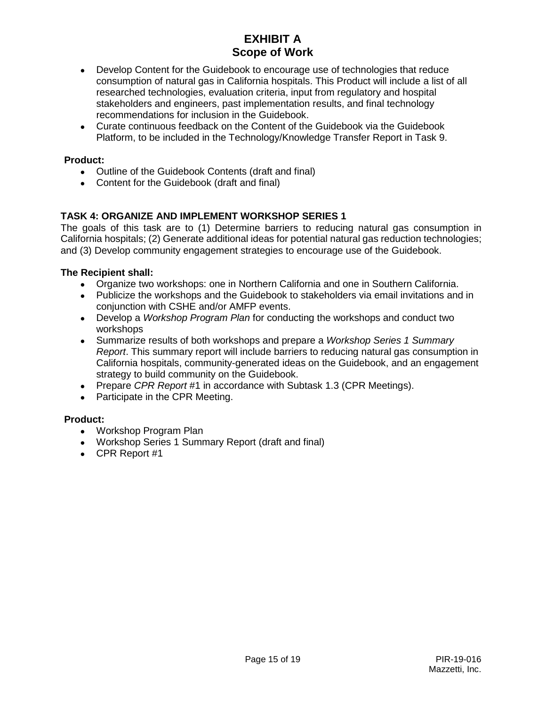- Develop Content for the Guidebook to encourage use of technologies that reduce consumption of natural gas in California hospitals. This Product will include a list of all researched technologies, evaluation criteria, input from regulatory and hospital stakeholders and engineers, past implementation results, and final technology recommendations for inclusion in the Guidebook.
- Curate continuous feedback on the Content of the Guidebook via the Guidebook Platform, to be included in the Technology/Knowledge Transfer Report in Task 9.

## **Product:**

- Outline of the Guidebook Contents (draft and final)
- Content for the Guidebook (draft and final)

# **TASK 4: ORGANIZE AND IMPLEMENT WORKSHOP SERIES 1**

The goals of this task are to (1) Determine barriers to reducing natural gas consumption in California hospitals; (2) Generate additional ideas for potential natural gas reduction technologies; and (3) Develop community engagement strategies to encourage use of the Guidebook.

## **The Recipient shall:**

- Organize two workshops: one in Northern California and one in Southern California.
- Publicize the workshops and the Guidebook to stakeholders via email invitations and in conjunction with CSHE and/or AMFP events.
- Develop a *Workshop Program Plan* for conducting the workshops and conduct two workshops
- Summarize results of both workshops and prepare a *Workshop Series 1 Summary Report*. This summary report will include barriers to reducing natural gas consumption in California hospitals, community-generated ideas on the Guidebook, and an engagement strategy to build community on the Guidebook.
- Prepare *CPR Report* #1 in accordance with Subtask 1.3 (CPR Meetings).
- Participate in the CPR Meeting.

## **Product:**

- Workshop Program Plan
- Workshop Series 1 Summary Report (draft and final)
- $\bullet$  CPR Report #1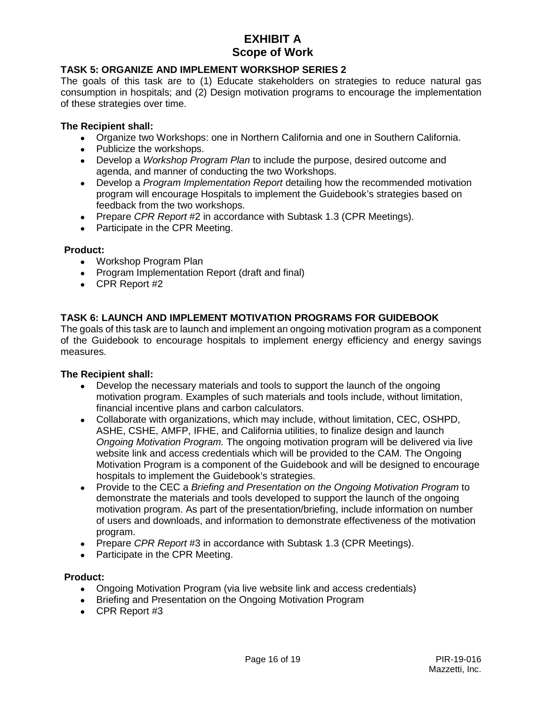## **TASK 5: ORGANIZE AND IMPLEMENT WORKSHOP SERIES 2**

The goals of this task are to (1) Educate stakeholders on strategies to reduce natural gas consumption in hospitals; and (2) Design motivation programs to encourage the implementation of these strategies over time.

#### **The Recipient shall:**

- Organize two Workshops: one in Northern California and one in Southern California.
- Publicize the workshops.
- Develop a *Workshop Program Plan* to include the purpose, desired outcome and agenda, and manner of conducting the two Workshops.
- Develop a *Program Implementation Report* detailing how the recommended motivation program will encourage Hospitals to implement the Guidebook's strategies based on feedback from the two workshops.
- Prepare *CPR Report* #2 in accordance with Subtask 1.3 (CPR Meetings).
- Participate in the CPR Meeting.

#### **Product:**

- Workshop Program Plan
- Program Implementation Report (draft and final)
- $\bullet$  CPR Report #2

## **TASK 6: LAUNCH AND IMPLEMENT MOTIVATION PROGRAMS FOR GUIDEBOOK**

The goals of this task are to launch and implement an ongoing motivation program as a component of the Guidebook to encourage hospitals to implement energy efficiency and energy savings measures.

#### **The Recipient shall:**

- Develop the necessary materials and tools to support the launch of the ongoing motivation program. Examples of such materials and tools include, without limitation, financial incentive plans and carbon calculators.
- Collaborate with organizations, which may include, without limitation, CEC, OSHPD, ASHE, CSHE, AMFP, IFHE, and California utilities, to finalize design and launch *Ongoing Motivation Program.* The ongoing motivation program will be delivered via live website link and access credentials which will be provided to the CAM. The Ongoing Motivation Program is a component of the Guidebook and will be designed to encourage hospitals to implement the Guidebook's strategies.
- Provide to the CEC a *Briefing and Presentation on the Ongoing Motivation Program* to demonstrate the materials and tools developed to support the launch of the ongoing motivation program. As part of the presentation/briefing, include information on number of users and downloads, and information to demonstrate effectiveness of the motivation program.
- Prepare *CPR Report* #3 in accordance with Subtask 1.3 (CPR Meetings).
- Participate in the CPR Meeting.

#### **Product:**

- Ongoing Motivation Program (via live website link and access credentials)
- Briefing and Presentation on the Ongoing Motivation Program
- $\bullet$  CPR Report #3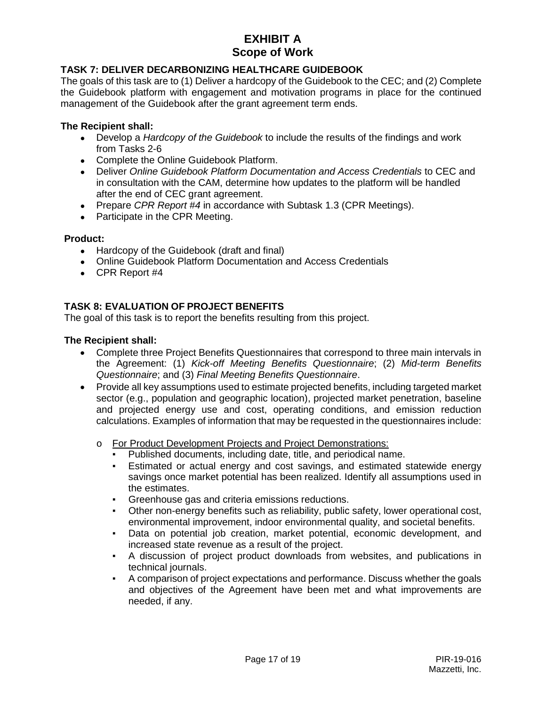# **TASK 7: DELIVER DECARBONIZING HEALTHCARE GUIDEBOOK**

The goals of this task are to (1) Deliver a hardcopy of the Guidebook to the CEC; and (2) Complete the Guidebook platform with engagement and motivation programs in place for the continued management of the Guidebook after the grant agreement term ends.

#### **The Recipient shall:**

- Develop a *Hardcopy of the Guidebook* to include the results of the findings and work from Tasks 2-6
- Complete the Online Guidebook Platform.
- Deliver *Online Guidebook Platform Documentation and Access Credentials* to CEC and in consultation with the CAM, determine how updates to the platform will be handled after the end of CEC grant agreement.
- Prepare *CPR Report #4* in accordance with Subtask 1.3 (CPR Meetings).
- Participate in the CPR Meeting.

#### **Product:**

- Hardcopy of the Guidebook (draft and final)
- Online Guidebook Platform Documentation and Access Credentials
- $\bullet$  CPR Report #4

## **TASK 8: EVALUATION OF PROJECT BENEFITS**

The goal of this task is to report the benefits resulting from this project.

- Complete three Project Benefits Questionnaires that correspond to three main intervals in the Agreement: (1) *Kick-off Meeting Benefits Questionnaire*; (2) *Mid-term Benefits Questionnaire*; and (3) *Final Meeting Benefits Questionnaire*.
- Provide all key assumptions used to estimate projected benefits, including targeted market sector (e.g., population and geographic location), projected market penetration, baseline and projected energy use and cost, operating conditions, and emission reduction calculations. Examples of information that may be requested in the questionnaires include:
	- o For Product Development Projects and Project Demonstrations:
		- Published documents, including date, title, and periodical name.
		- Estimated or actual energy and cost savings, and estimated statewide energy savings once market potential has been realized. Identify all assumptions used in the estimates.
		- Greenhouse gas and criteria emissions reductions.
		- Other non-energy benefits such as reliability, public safety, lower operational cost, environmental improvement, indoor environmental quality, and societal benefits.
		- Data on potential job creation, market potential, economic development, and increased state revenue as a result of the project.
		- A discussion of project product downloads from websites, and publications in technical journals.
		- A comparison of project expectations and performance. Discuss whether the goals and objectives of the Agreement have been met and what improvements are needed, if any.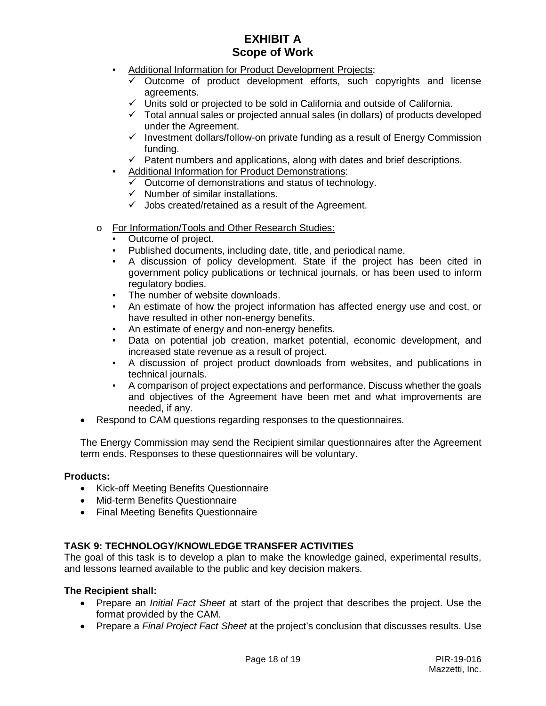- **-** Additional Information for Product Development Projects:
	- $\checkmark$  Outcome of product development efforts, such copyrights and license agreements.
	- $\checkmark$  Units sold or projected to be sold in California and outside of California.
	- $\checkmark$  Total annual sales or projected annual sales (in dollars) of products developed under the Agreement.
	- $\checkmark$  Investment dollars/follow-on private funding as a result of Energy Commission funding.
	- $\checkmark$  Patent numbers and applications, along with dates and brief descriptions.
- Additional Information for Product Demonstrations:
	- $\overline{v}$  Outcome of demonstrations and status of technology.
	- $\checkmark$  Number of similar installations.
	- $\checkmark$  Jobs created/retained as a result of the Agreement.
- o For Information/Tools and Other Research Studies:
	- Outcome of project.
	- Published documents, including date, title, and periodical name.
	- A discussion of policy development. State if the project has been cited in government policy publications or technical journals, or has been used to inform regulatory bodies.
	- The number of website downloads.
	- An estimate of how the project information has affected energy use and cost, or have resulted in other non-energy benefits.
	- **EXECT** An estimate of energy and non-energy benefits.
	- Data on potential job creation, market potential, economic development, and increased state revenue as a result of project.
	- A discussion of project product downloads from websites, and publications in technical journals.
	- A comparison of project expectations and performance. Discuss whether the goals and objectives of the Agreement have been met and what improvements are needed, if any.
- Respond to CAM questions regarding responses to the questionnaires.

The Energy Commission may send the Recipient similar questionnaires after the Agreement term ends. Responses to these questionnaires will be voluntary.

## **Products:**

- Kick-off Meeting Benefits Questionnaire
- Mid-term Benefits Questionnaire
- Final Meeting Benefits Questionnaire

## **TASK 9: TECHNOLOGY/KNOWLEDGE TRANSFER ACTIVITIES**

The goal of this task is to develop a plan to make the knowledge gained, experimental results, and lessons learned available to the public and key decision makers.

- Prepare an *Initial Fact Sheet* at start of the project that describes the project. Use the format provided by the CAM.
- Prepare a *Final Project Fact Sheet* at the project's conclusion that discusses results. Use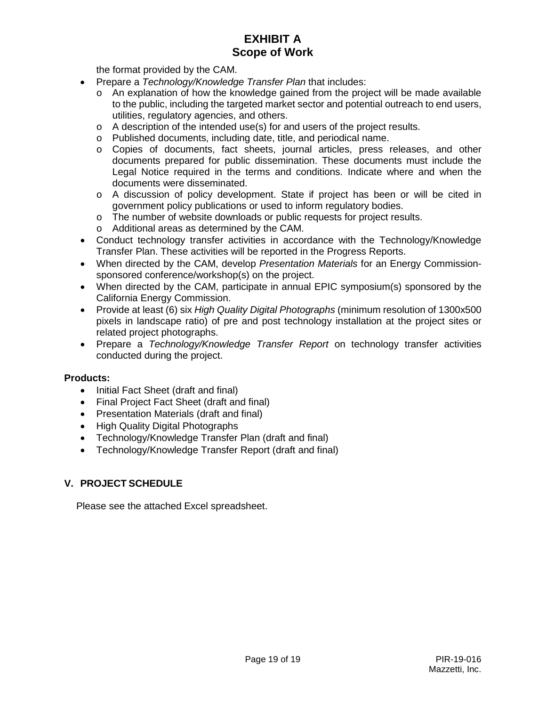the format provided by the CAM.

- Prepare a *Technology/Knowledge Transfer Plan* that includes:
	- o An explanation of how the knowledge gained from the project will be made available to the public, including the targeted market sector and potential outreach to end users, utilities, regulatory agencies, and others.
	- o A description of the intended use(s) for and users of the project results.
	- o Published documents, including date, title, and periodical name.
	- o Copies of documents, fact sheets, journal articles, press releases, and other documents prepared for public dissemination. These documents must include the Legal Notice required in the terms and conditions. Indicate where and when the documents were disseminated.
	- o A discussion of policy development. State if project has been or will be cited in government policy publications or used to inform regulatory bodies.
	- o The number of website downloads or public requests for project results.
	- o Additional areas as determined by the CAM.
- Conduct technology transfer activities in accordance with the Technology/Knowledge Transfer Plan. These activities will be reported in the Progress Reports.
- When directed by the CAM, develop *Presentation Materials* for an Energy Commissionsponsored conference/workshop(s) on the project.
- When directed by the CAM, participate in annual EPIC symposium(s) sponsored by the California Energy Commission.
- Provide at least (6) six *High Quality Digital Photographs* (minimum resolution of 1300x500 pixels in landscape ratio) of pre and post technology installation at the project sites or related project photographs.
- Prepare a *Technology/Knowledge Transfer Report* on technology transfer activities conducted during the project.

## **Products:**

- Initial Fact Sheet (draft and final)
- Final Project Fact Sheet (draft and final)
- Presentation Materials (draft and final)
- High Quality Digital Photographs
- Technology/Knowledge Transfer Plan (draft and final)
- Technology/Knowledge Transfer Report (draft and final)

## **V. PROJECT SCHEDULE**

Please see the attached Excel spreadsheet.